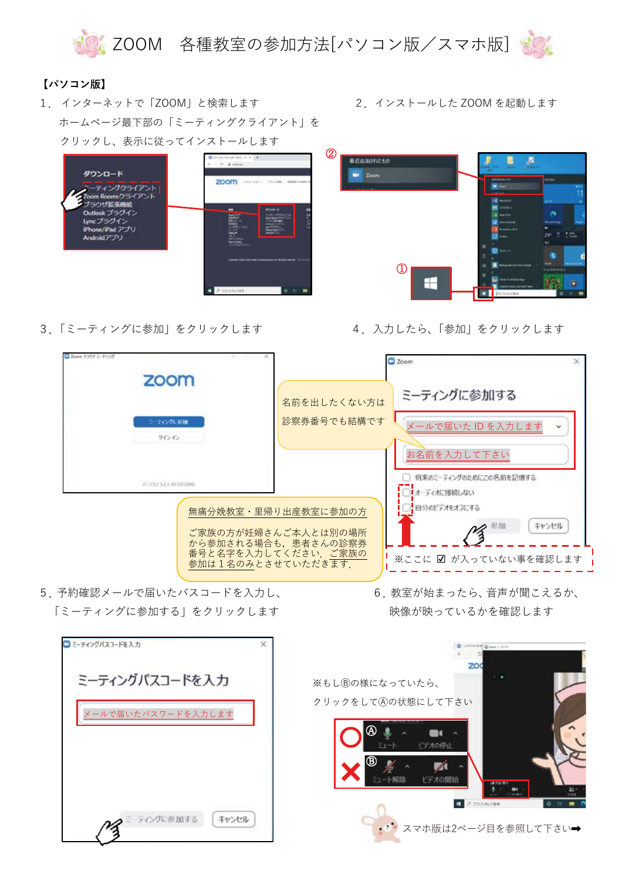

## 【パソコン版】

- 1. インターネットで「ZOOM」と検索します ホームページ最下部の「ミーティングクライアント」を クリックし、表示に従ってインストールします
	- **CONTRACTOR** ダウンロード zoom ティングクライアント om Roomsクライアント<br>「ラウザ拡張機能 Outlook プラグイン ncプラグイン e/iPad アプリ **Mアプリ**
- 3. 「ミーティングに参加」をクリックします

2. インストールした ZOOM を起動します



## 4. 入力したら、「参加」をクリックします



- 5 予約確認メールで届いたパスコードを入力し、 「ミーティングに参加する| をクリックします
- 6 教室が始まったら、音声が聞こえるか、 映像が映っているかを確認します